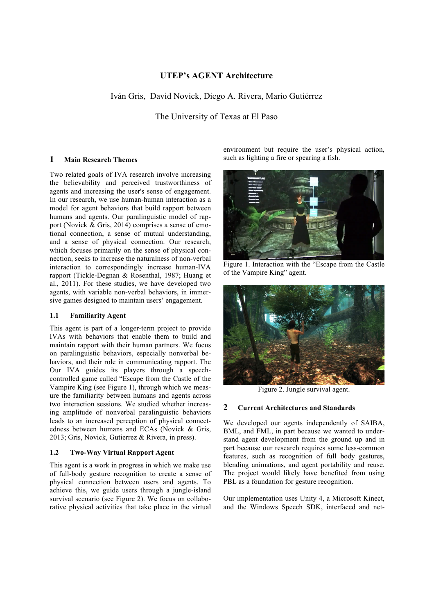## **UTEP's AGENT Architecture**

Iván Gris, David Novick, Diego A. Rivera, Mario Gutiérrez

The University of Texas at El Paso

#### **1 Main Research Themes**

Two related goals of IVA research involve increasing the believability and perceived trustworthiness of agents and increasing the user's sense of engagement. In our research, we use human-human interaction as a model for agent behaviors that build rapport between humans and agents. Our paralinguistic model of rapport (Novick & Gris, 2014) comprises a sense of emotional connection, a sense of mutual understanding, and a sense of physical connection. Our research, which focuses primarily on the sense of physical connection, seeks to increase the naturalness of non-verbal interaction to correspondingly increase human-IVA rapport (Tickle-Degnan & Rosenthal, 1987; Huang et al., 2011). For these studies, we have developed two agents, with variable non-verbal behaviors, in immersive games designed to maintain users' engagement.

#### **1.1 Familiarity Agent**

This agent is part of a longer-term project to provide IVAs with behaviors that enable them to build and maintain rapport with their human partners. We focus on paralinguistic behaviors, especially nonverbal behaviors, and their role in communicating rapport. The Our IVA guides its players through a speechcontrolled game called "Escape from the Castle of the Vampire King (see Figure 1), through which we measure the familiarity between humans and agents across two interaction sessions. We studied whether increasing amplitude of nonverbal paralinguistic behaviors leads to an increased perception of physical connectedness between humans and ECAs (Novick & Gris, 2013; Gris, Novick, Gutierrez & Rivera, in press).

#### **1.2 Two-Way Virtual Rapport Agent**

This agent is a work in progress in which we make use of full-body gesture recognition to create a sense of physical connection between users and agents. To achieve this, we guide users through a jungle-island survival scenario (see Figure 2). We focus on collaborative physical activities that take place in the virtual environment but require the user's physical action, such as lighting a fire or spearing a fish.



Figure 1. Interaction with the "Escape from the Castle of the Vampire King" agent.



Figure 2. Jungle survival agent.

#### **2 Current Architectures and Standards**

We developed our agents independently of SAIBA, BML, and FML, in part because we wanted to understand agent development from the ground up and in part because our research requires some less-common features, such as recognition of full body gestures, blending animations, and agent portability and reuse. The project would likely have benefited from using PBL as a foundation for gesture recognition.

Our implementation uses Unity 4, a Microsoft Kinect, and the Windows Speech SDK, interfaced and net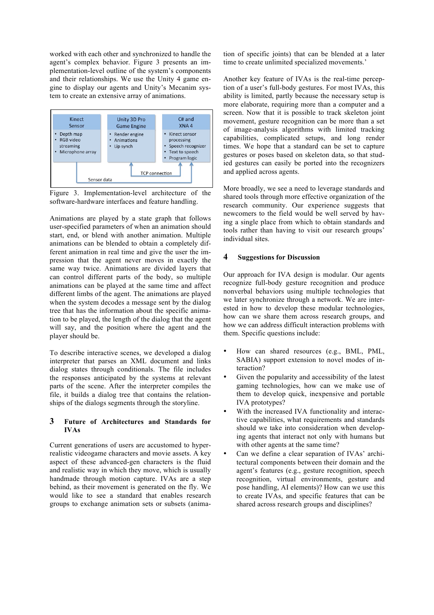worked with each other and synchronized to handle the agent's complex behavior. Figure 3 presents an implementation-level outline of the system's components and their relationships. We use the Unity 4 game engine to display our agents and Unity's Mecanim system to create an extensive array of animations.



Figure 3. Implementation-level architecture of the software-hardware interfaces and feature handling.

Animations are played by a state graph that follows user-specified parameters of when an animation should start, end, or blend with another animation. Multiple animations can be blended to obtain a completely different animation in real time and give the user the impression that the agent never moves in exactly the same way twice. Animations are divided layers that can control different parts of the body, so multiple animations can be played at the same time and affect different limbs of the agent. The animations are played when the system decodes a message sent by the dialog tree that has the information about the specific animation to be played, the length of the dialog that the agent will say, and the position where the agent and the player should be.

To describe interactive scenes, we developed a dialog interpreter that parses an XML document and links dialog states through conditionals. The file includes the responses anticipated by the systems at relevant parts of the scene. After the interpreter compiles the file, it builds a dialog tree that contains the relationships of the dialogs segments through the storyline.

### **3 Future of Architectures and Standards for IVAs**

Current generations of users are accustomed to hyperrealistic videogame characters and movie assets. A key aspect of these advanced-gen characters is the fluid and realistic way in which they move, which is usually handmade through motion capture. IVAs are a step behind, as their movement is generated on the fly. We would like to see a standard that enables research groups to exchange animation sets or subsets (animation of specific joints) that can be blended at a later time to create unlimited specialized movements.'

Another key feature of IVAs is the real-time perception of a user's full-body gestures. For most IVAs, this ability is limited, partly because the necessary setup is more elaborate, requiring more than a computer and a screen. Now that it is possible to track skeleton joint movement, gesture recognition can be more than a set of image-analysis algorithms with limited tracking capabilities, complicated setups, and long render times. We hope that a standard can be set to capture gestures or poses based on skeleton data, so that studied gestures can easily be ported into the recognizers and applied across agents.

More broadly, we see a need to leverage standards and shared tools through more effective organization of the research community. Our experience suggests that newcomers to the field would be well served by having a single place from which to obtain standards and tools rather than having to visit our research groups' individual sites.

## **4 Suggestions for Discussion**

Our approach for IVA design is modular. Our agents recognize full-body gesture recognition and produce nonverbal behaviors using multiple technologies that we later synchronize through a network. We are interested in how to develop these modular technologies, how can we share them across research groups, and how we can address difficult interaction problems with them. Specific questions include:

- How can shared resources (e.g., BML, PML, SABIA) support extension to novel modes of interaction?
- Given the popularity and accessibility of the latest gaming technologies, how can we make use of them to develop quick, inexpensive and portable IVA prototypes?
- With the increased IVA functionality and interactive capabilities, what requirements and standards should we take into consideration when developing agents that interact not only with humans but with other agents at the same time?
- Can we define a clear separation of IVAs' architectural components between their domain and the agent's features (e.g., gesture recognition, speech recognition, virtual environments, gesture and pose handling, AI elements)? How can we use this to create IVAs, and specific features that can be shared across research groups and disciplines?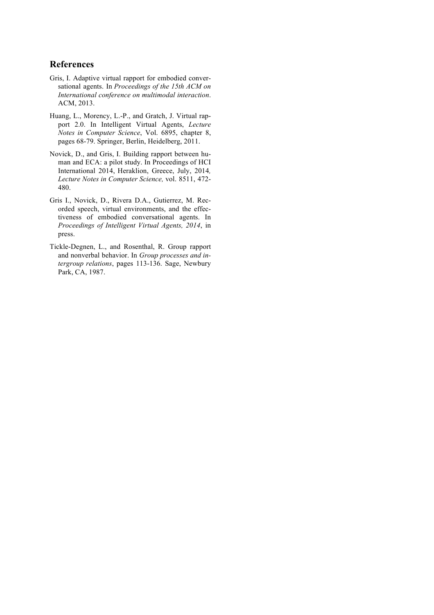# **References**

- Gris, I. Adaptive virtual rapport for embodied conversational agents. In *Proceedings of the 15th ACM on International conference on multimodal interaction*. ACM, 2013.
- Huang, L., Morency, L.-P., and Gratch, J. Virtual rapport 2.0. In Intelligent Virtual Agents, *Lecture Notes in Computer Science*, Vol. 6895, chapter 8, pages 68-79. Springer, Berlin, Heidelberg, 2011.
- Novick, D., and Gris, I. Building rapport between human and ECA: a pilot study. In Proceedings of HCI International 2014, Heraklion, Greece, July, 2014*, Lecture Notes in Computer Science,* vol. 8511, 472- 480.
- Gris I., Novick, D., Rivera D.A., Gutierrez, M. Recorded speech, virtual environments, and the effectiveness of embodied conversational agents. In *Proceedings of Intelligent Virtual Agents, 2014*, in press.
- Tickle-Degnen, L., and Rosenthal, R. Group rapport and nonverbal behavior. In *Group processes and intergroup relations*, pages 113-136. Sage, Newbury Park, CA, 1987.